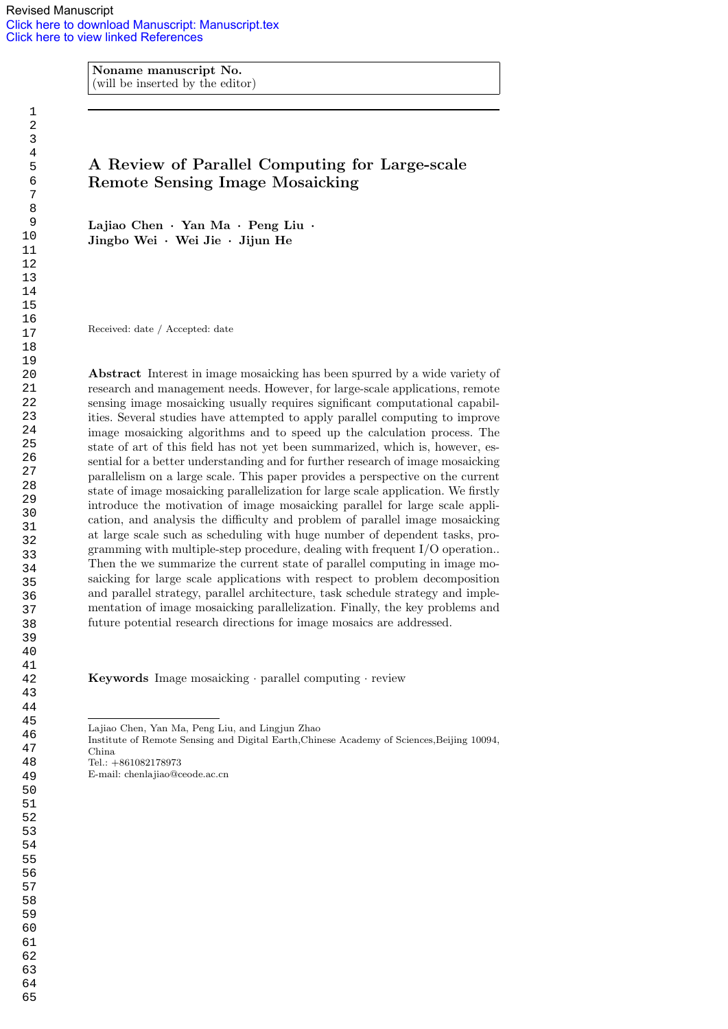Noname manuscript No. (will be inserted by the editor)

# A Review of Parallel Computing for Large-scale Remote Sensing Image Mosaicking

Lajiao Chen · Yan Ma · Peng Liu · Jingbo Wei · Wei Jie · Jijun He

Received: date / Accepted: date

Abstract Interest in image mosaicking has been spurred by a wide variety of research and management needs. However, for large-scale applications, remote sensing image mosaicking usually requires significant computational capabilities. Several studies have attempted to apply parallel computing to improve image mosaicking algorithms and to speed up the calculation process. The state of art of this field has not yet been summarized, which is, however, essential for a better understanding and for further research of image mosaicking parallelism on a large scale. This paper provides a perspective on the current state of image mosaicking parallelization for large scale application. We firstly introduce the motivation of image mosaicking parallel for large scale application, and analysis the difficulty and problem of parallel image mosaicking at large scale such as scheduling with huge number of dependent tasks, programming with multiple-step procedure, dealing with frequent I/O operation.. Then the we summarize the current state of parallel computing in image mosaicking for large scale applications with respect to problem decomposition and parallel strategy, parallel architecture, task schedule strategy and implementation of image mosaicking parallelization. Finally, the key problems and future potential research directions for image mosaics are addressed.

Keywords Image mosaicking · parallel computing · review

- China Tel.: +861082178973
- E-mail: chenlajiao@ceode.ac.cn
- 

Lajiao Chen, Yan Ma, Peng Liu, and Lingjun Zhao

Institute of Remote Sensing and Digital Earth,Chinese Academy of Sciences,Beijing 10094,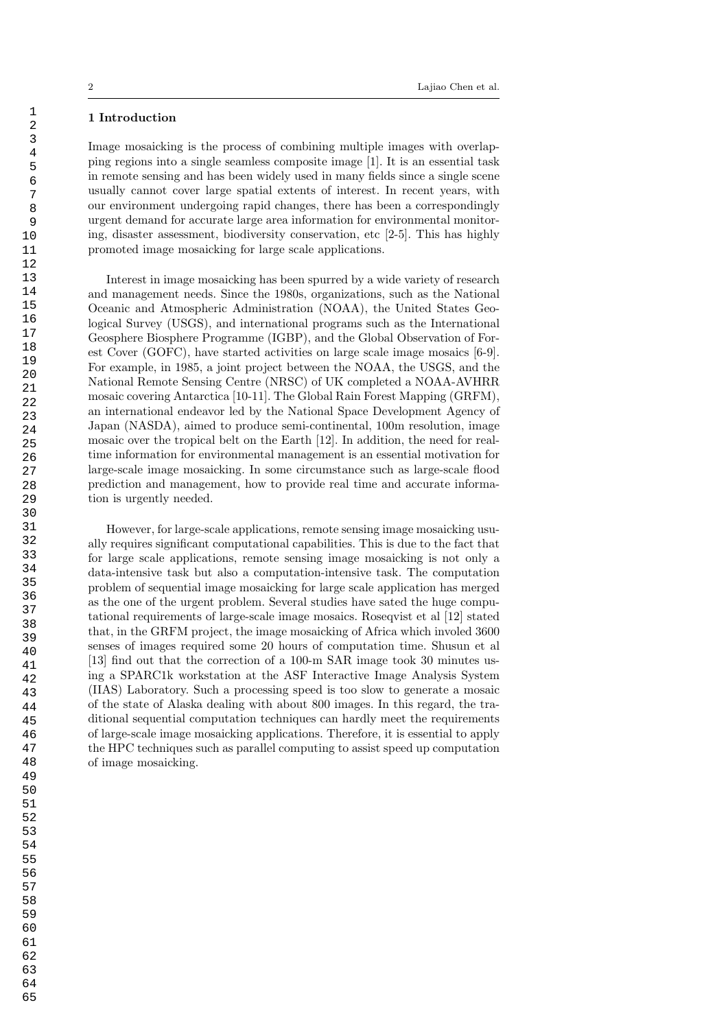### 1 Introduction

Image mosaicking is the process of combining multiple images with overlapping regions into a single seamless composite image [1]. It is an essential task in remote sensing and has been widely used in many fields since a single scene usually cannot cover large spatial extents of interest. In recent years, with our environment undergoing rapid changes, there has been a correspondingly urgent demand for accurate large area information for environmental monitoring, disaster assessment, biodiversity conservation, etc [2-5]. This has highly promoted image mosaicking for large scale applications.

Interest in image mosaicking has been spurred by a wide variety of research and management needs. Since the 1980s, organizations, such as the National Oceanic and Atmospheric Administration (NOAA), the United States Geological Survey (USGS), and international programs such as the International Geosphere Biosphere Programme (IGBP), and the Global Observation of Forest Cover (GOFC), have started activities on large scale image mosaics [6-9]. For example, in 1985, a joint project between the NOAA, the USGS, and the National Remote Sensing Centre (NRSC) of UK completed a NOAA-AVHRR mosaic covering Antarctica [10-11]. The Global Rain Forest Mapping (GRFM), an international endeavor led by the National Space Development Agency of Japan (NASDA), aimed to produce semi-continental, 100m resolution, image mosaic over the tropical belt on the Earth [12]. In addition, the need for realtime information for environmental management is an essential motivation for large-scale image mosaicking. In some circumstance such as large-scale flood prediction and management, how to provide real time and accurate information is urgently needed.

However, for large-scale applications, remote sensing image mosaicking usually requires significant computational capabilities. This is due to the fact that for large scale applications, remote sensing image mosaicking is not only a data-intensive task but also a computation-intensive task. The computation problem of sequential image mosaicking for large scale application has merged as the one of the urgent problem. Several studies have sated the huge computational requirements of large-scale image mosaics. Roseqvist et al [12] stated that, in the GRFM project, the image mosaicking of Africa which involed 3600 senses of images required some 20 hours of computation time. Shusun et al [13] find out that the correction of a 100-m SAR image took 30 minutes using a SPARC1k workstation at the ASF Interactive Image Analysis System (IIAS) Laboratory. Such a processing speed is too slow to generate a mosaic of the state of Alaska dealing with about 800 images. In this regard, the traditional sequential computation techniques can hardly meet the requirements of large-scale image mosaicking applications. Therefore, it is essential to apply the HPC techniques such as parallel computing to assist speed up computation of image mosaicking.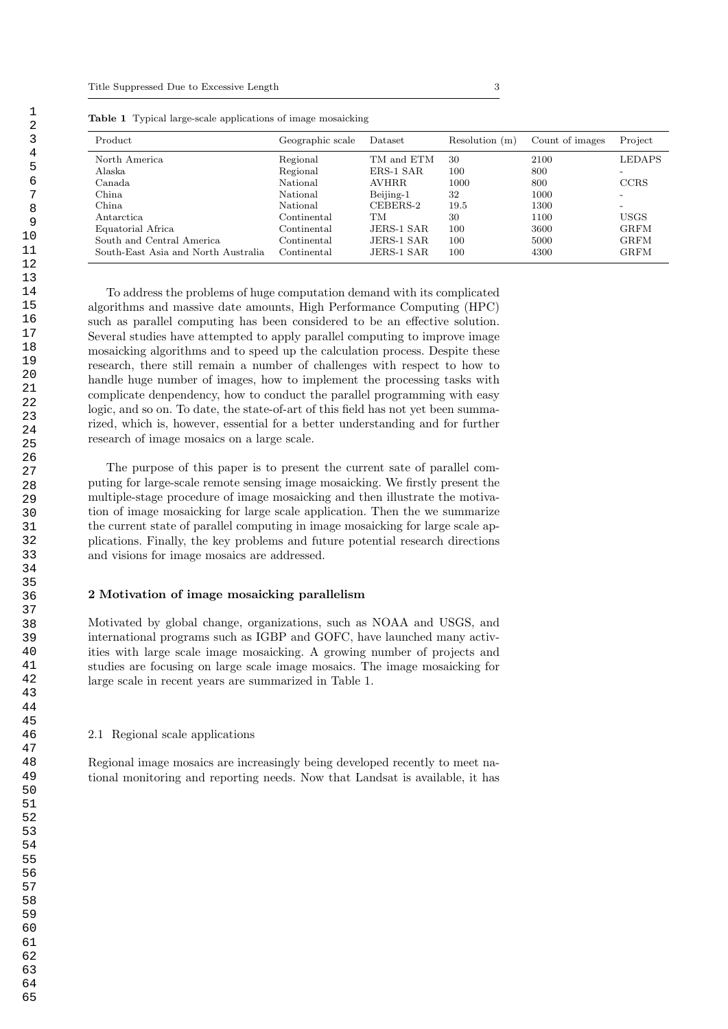| Product                             | Geographic scale | Dataset    | Resolution (m) | Count of images | Project                  |
|-------------------------------------|------------------|------------|----------------|-----------------|--------------------------|
| North America                       | Regional         | TM and ETM | 30             | 2100            | <b>LEDAPS</b>            |
| Alaska                              | Regional         | ERS-1 SAR  | 100            | 800             | $\overline{\phantom{a}}$ |
| Canada.                             | National         | AVHRR.     | 1000           | 800             | <b>CCRS</b>              |
| China                               | National         | Beijing-1  | 32             | 1000            | $\overline{\phantom{a}}$ |
| China                               | National         | CEBERS-2   | 19.5           | 1300            | $\overline{\phantom{a}}$ |
| Antarctica                          | Continental      | TМ         | 30             | 1100            | USGS                     |
| Equatorial Africa                   | Continental      | JERS-1 SAR | 100            | 3600            | <b>GRFM</b>              |
| South and Central America           | Continental      | JERS-1 SAR | 100            | 5000            | <b>GRFM</b>              |
| South-East Asia and North Australia | Continental      | JERS-1 SAR | 100            | 4300            | <b>GRFM</b>              |

Table 1 Typical large-scale applications of image mosaicking

To address the problems of huge computation demand with its complicated algorithms and massive date amounts, High Performance Computing (HPC) such as parallel computing has been considered to be an effective solution. Several studies have attempted to apply parallel computing to improve image mosaicking algorithms and to speed up the calculation process. Despite these research, there still remain a number of challenges with respect to how to handle huge number of images, how to implement the processing tasks with complicate denpendency, how to conduct the parallel programming with easy logic, and so on. To date, the state-of-art of this field has not yet been summarized, which is, however, essential for a better understanding and for further research of image mosaics on a large scale.

The purpose of this paper is to present the current sate of parallel computing for large-scale remote sensing image mosaicking. We firstly present the multiple-stage procedure of image mosaicking and then illustrate the motivation of image mosaicking for large scale application. Then the we summarize the current state of parallel computing in image mosaicking for large scale applications. Finally, the key problems and future potential research directions and visions for image mosaics are addressed.

### 2 Motivation of image mosaicking parallelism

Motivated by global change, organizations, such as NOAA and USGS, and international programs such as IGBP and GOFC, have launched many activities with large scale image mosaicking. A growing number of projects and studies are focusing on large scale image mosaics. The image mosaicking for large scale in recent years are summarized in Table 1.

### 2.1 Regional scale applications

Regional image mosaics are increasingly being developed recently to meet national monitoring and reporting needs. Now that Landsat is available, it has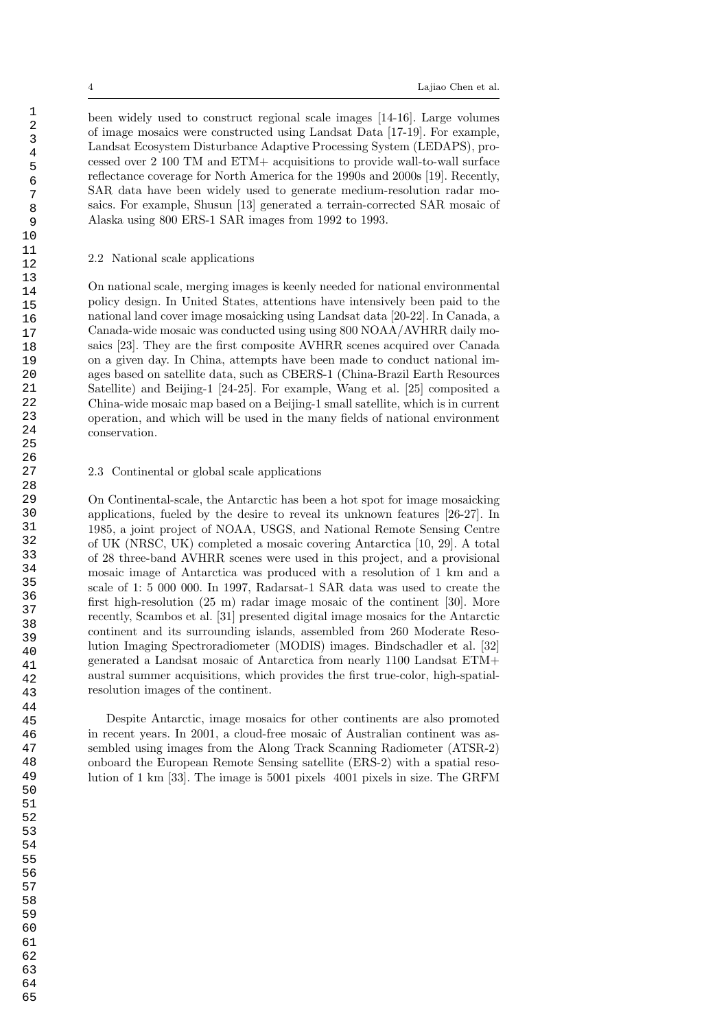been widely used to construct regional scale images [14-16]. Large volumes of image mosaics were constructed using Landsat Data [17-19]. For example, Landsat Ecosystem Disturbance Adaptive Processing System (LEDAPS), processed over 2 100 TM and ETM+ acquisitions to provide wall-to-wall surface reflectance coverage for North America for the 1990s and 2000s [19]. Recently, SAR data have been widely used to generate medium-resolution radar mosaics. For example, Shusun [13] generated a terrain-corrected SAR mosaic of Alaska using 800 ERS-1 SAR images from 1992 to 1993.

### 2.2 National scale applications

On national scale, merging images is keenly needed for national environmental policy design. In United States, attentions have intensively been paid to the national land cover image mosaicking using Landsat data [20-22]. In Canada, a Canada-wide mosaic was conducted using using 800 NOAA/AVHRR daily mosaics [23]. They are the first composite AVHRR scenes acquired over Canada on a given day. In China, attempts have been made to conduct national images based on satellite data, such as CBERS-1 (China-Brazil Earth Resources Satellite) and Beijing-1 [24-25]. For example, Wang et al. [25] composited a China-wide mosaic map based on a Beijing-1 small satellite, which is in current operation, and which will be used in the many fields of national environment conservation.

### 2.3 Continental or global scale applications

On Continental-scale, the Antarctic has been a hot spot for image mosaicking applications, fueled by the desire to reveal its unknown features [26-27]. In 1985, a joint project of NOAA, USGS, and National Remote Sensing Centre of UK (NRSC, UK) completed a mosaic covering Antarctica [10, 29]. A total of 28 three-band AVHRR scenes were used in this project, and a provisional mosaic image of Antarctica was produced with a resolution of 1 km and a scale of 1: 5 000 000. In 1997, Radarsat-1 SAR data was used to create the first high-resolution (25 m) radar image mosaic of the continent [30]. More recently, Scambos et al. [31] presented digital image mosaics for the Antarctic continent and its surrounding islands, assembled from 260 Moderate Resolution Imaging Spectroradiometer (MODIS) images. Bindschadler et al. [32] generated a Landsat mosaic of Antarctica from nearly 1100 Landsat ETM+ austral summer acquisitions, which provides the first true-color, high-spatialresolution images of the continent.

Despite Antarctic, image mosaics for other continents are also promoted in recent years. In 2001, a cloud-free mosaic of Australian continent was assembled using images from the Along Track Scanning Radiometer (ATSR-2) onboard the European Remote Sensing satellite (ERS-2) with a spatial resolution of 1 km [33]. The image is 5001 pixels 4001 pixels in size. The GRFM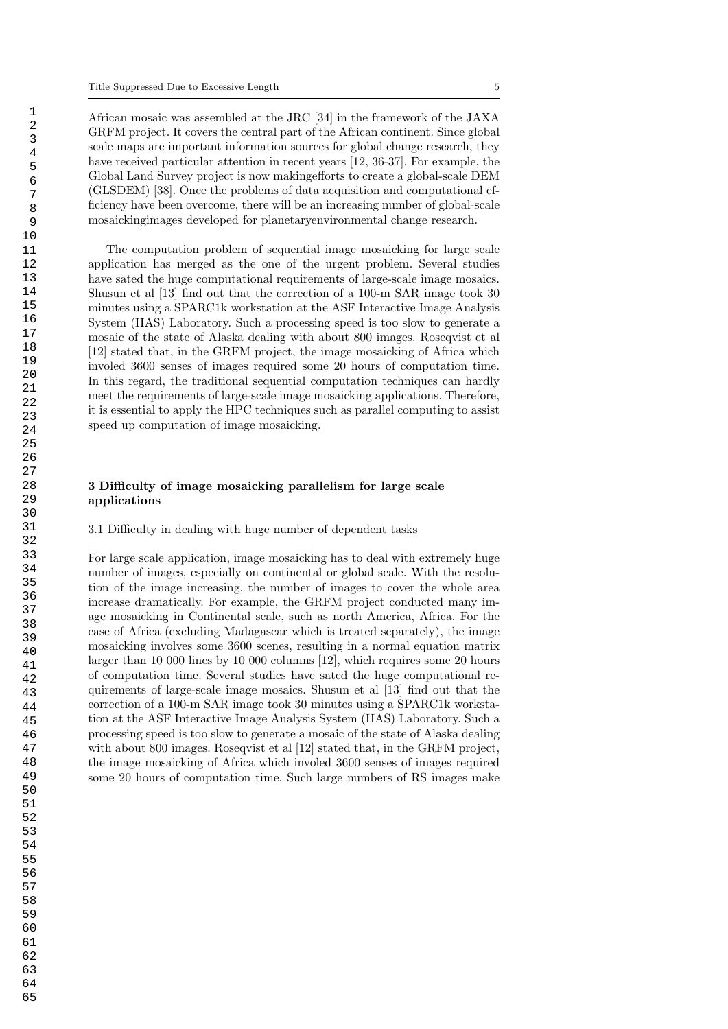African mosaic was assembled at the JRC [34] in the framework of the JAXA GRFM project. It covers the central part of the African continent. Since global scale maps are important information sources for global change research, they have received particular attention in recent years [12, 36-37]. For example, the Global Land Survey project is now makingefforts to create a global-scale DEM (GLSDEM) [38]. Once the problems of data acquisition and computational efficiency have been overcome, there will be an increasing number of global-scale mosaickingimages developed for planetaryenvironmental change research.

The computation problem of sequential image mosaicking for large scale application has merged as the one of the urgent problem. Several studies have sated the huge computational requirements of large-scale image mosaics. Shusun et al [13] find out that the correction of a 100-m SAR image took 30 minutes using a SPARC1k workstation at the ASF Interactive Image Analysis System (IIAS) Laboratory. Such a processing speed is too slow to generate a mosaic of the state of Alaska dealing with about 800 images. Roseqvist et al [12] stated that, in the GRFM project, the image mosaicking of Africa which involed 3600 senses of images required some 20 hours of computation time. In this regard, the traditional sequential computation techniques can hardly meet the requirements of large-scale image mosaicking applications. Therefore, it is essential to apply the HPC techniques such as parallel computing to assist speed up computation of image mosaicking.

# 3 Difficulty of image mosaicking parallelism for large scale applications

3.1 Difficulty in dealing with huge number of dependent tasks

For large scale application, image mosaicking has to deal with extremely huge number of images, especially on continental or global scale. With the resolution of the image increasing, the number of images to cover the whole area increase dramatically. For example, the GRFM project conducted many image mosaicking in Continental scale, such as north America, Africa. For the case of Africa (excluding Madagascar which is treated separately), the image mosaicking involves some 3600 scenes, resulting in a normal equation matrix larger than 10 000 lines by 10 000 columns [12], which requires some 20 hours of computation time. Several studies have sated the huge computational requirements of large-scale image mosaics. Shusun et al [13] find out that the correction of a 100-m SAR image took 30 minutes using a SPARC1k workstation at the ASF Interactive Image Analysis System (IIAS) Laboratory. Such a processing speed is too slow to generate a mosaic of the state of Alaska dealing with about 800 images. Roseqvist et al [12] stated that, in the GRFM project, the image mosaicking of Africa which involed 3600 senses of images required some 20 hours of computation time. Such large numbers of RS images make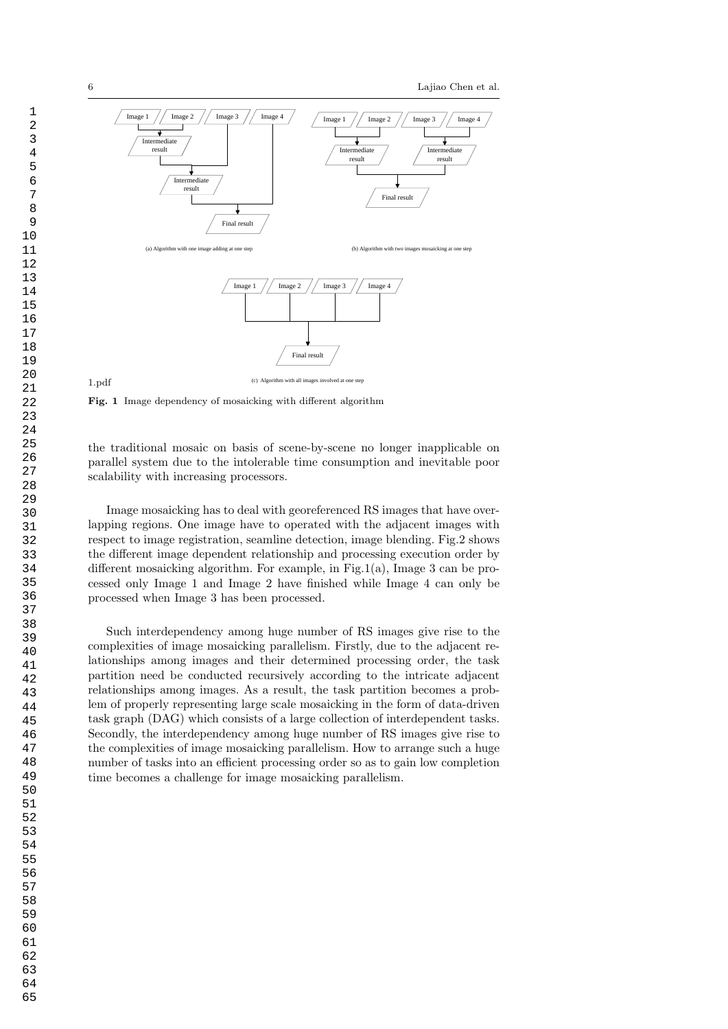

Fig. 1 Image dependency of mosaicking with different algorithm

the traditional mosaic on basis of scene-by-scene no longer inapplicable on parallel system due to the intolerable time consumption and inevitable poor scalability with increasing processors.

Image mosaicking has to deal with georeferenced RS images that have overlapping regions. One image have to operated with the adjacent images with respect to image registration, seamline detection, image blending. Fig.2 shows the different image dependent relationship and processing execution order by different mosaicking algorithm. For example, in Fig.1(a), Image 3 can be processed only Image 1 and Image 2 have finished while Image 4 can only be processed when Image 3 has been processed.

Such interdependency among huge number of RS images give rise to the complexities of image mosaicking parallelism. Firstly, due to the adjacent relationships among images and their determined processing order, the task partition need be conducted recursively according to the intricate adjacent relationships among images. As a result, the task partition becomes a problem of properly representing large scale mosaicking in the form of data-driven task graph (DAG) which consists of a large collection of interdependent tasks. Secondly, the interdependency among huge number of RS images give rise to the complexities of image mosaicking parallelism. How to arrange such a huge number of tasks into an efficient processing order so as to gain low completion time becomes a challenge for image mosaicking parallelism.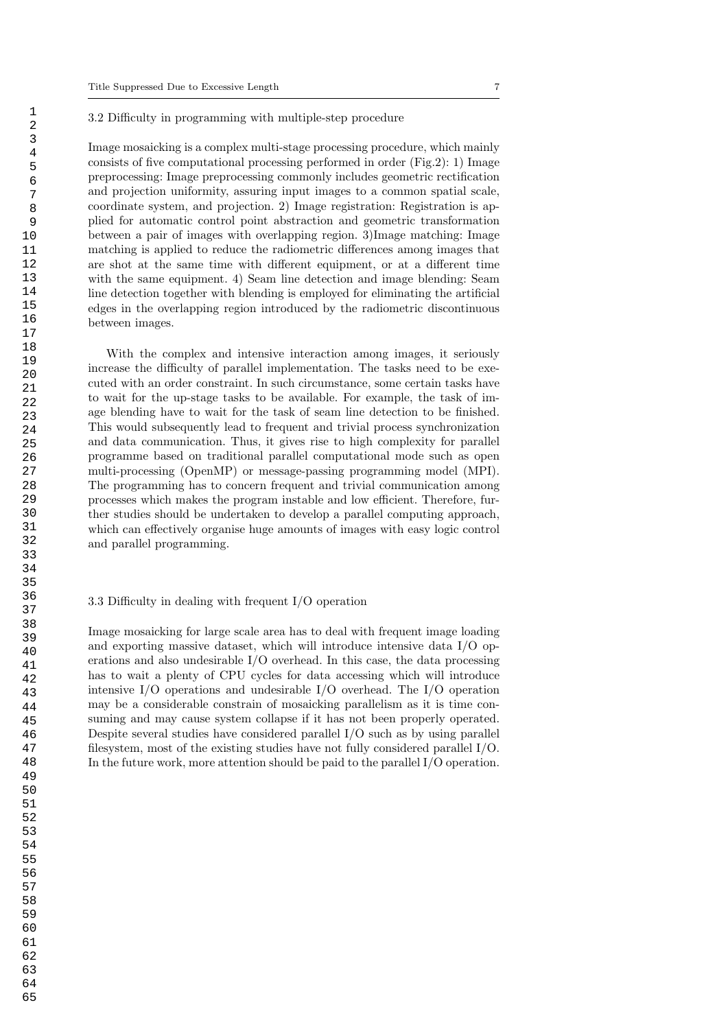### 3.2 Difficulty in programming with multiple-step procedure

Image mosaicking is a complex multi-stage processing procedure, which mainly consists of five computational processing performed in order (Fig.2): 1) Image preprocessing: Image preprocessing commonly includes geometric rectification and projection uniformity, assuring input images to a common spatial scale, coordinate system, and projection. 2) Image registration: Registration is applied for automatic control point abstraction and geometric transformation between a pair of images with overlapping region. 3)Image matching: Image matching is applied to reduce the radiometric differences among images that are shot at the same time with different equipment, or at a different time with the same equipment. 4) Seam line detection and image blending: Seam line detection together with blending is employed for eliminating the artificial edges in the overlapping region introduced by the radiometric discontinuous between images.

With the complex and intensive interaction among images, it seriously increase the difficulty of parallel implementation. The tasks need to be executed with an order constraint. In such circumstance, some certain tasks have to wait for the up-stage tasks to be available. For example, the task of image blending have to wait for the task of seam line detection to be finished. This would subsequently lead to frequent and trivial process synchronization and data communication. Thus, it gives rise to high complexity for parallel programme based on traditional parallel computational mode such as open multi-processing (OpenMP) or message-passing programming model (MPI). The programming has to concern frequent and trivial communication among processes which makes the program instable and low efficient. Therefore, further studies should be undertaken to develop a parallel computing approach, which can effectively organise huge amounts of images with easy logic control and parallel programming.

### 3.3 Difficulty in dealing with frequent I/O operation

Image mosaicking for large scale area has to deal with frequent image loading and exporting massive dataset, which will introduce intensive data I/O operations and also undesirable I/O overhead. In this case, the data processing has to wait a plenty of CPU cycles for data accessing which will introduce intensive I/O operations and undesirable I/O overhead. The I/O operation may be a considerable constrain of mosaicking parallelism as it is time consuming and may cause system collapse if it has not been properly operated. Despite several studies have considered parallel I/O such as by using parallel filesystem, most of the existing studies have not fully considered parallel I/O. In the future work, more attention should be paid to the parallel I/O operation.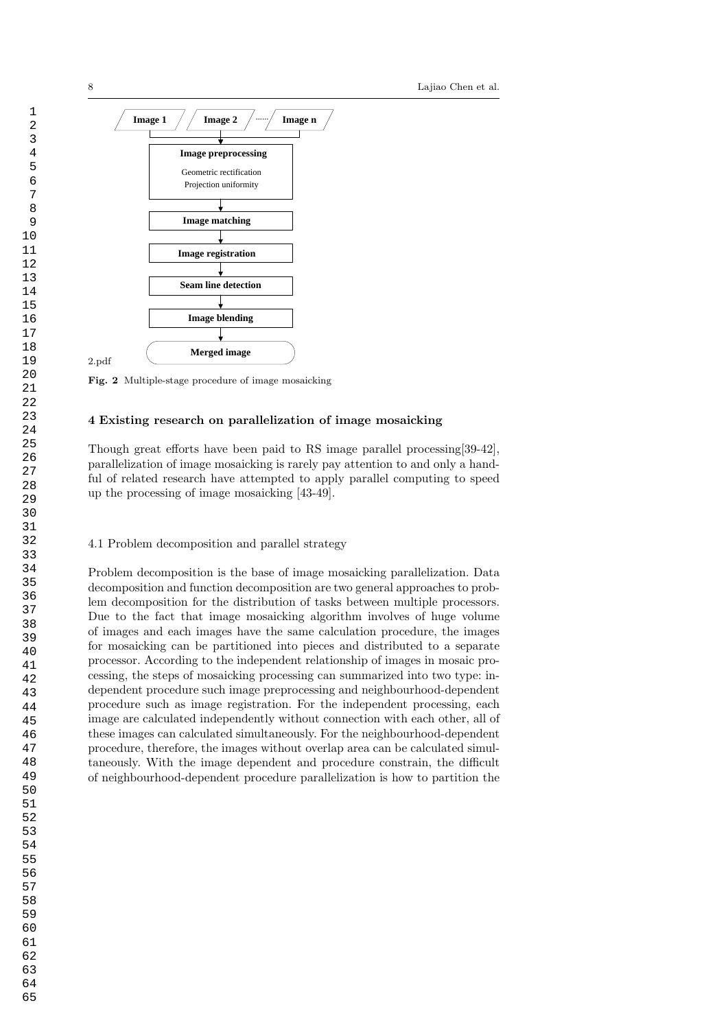

Fig. 2 Multiple-stage procedure of image mosaicking

### 4 Existing research on parallelization of image mosaicking

Though great efforts have been paid to RS image parallel processing[39-42], parallelization of image mosaicking is rarely pay attention to and only a handful of related research have attempted to apply parallel computing to speed up the processing of image mosaicking [43-49].

### 4.1 Problem decomposition and parallel strategy

Problem decomposition is the base of image mosaicking parallelization. Data decomposition and function decomposition are two general approaches to problem decomposition for the distribution of tasks between multiple processors. Due to the fact that image mosaicking algorithm involves of huge volume of images and each images have the same calculation procedure, the images for mosaicking can be partitioned into pieces and distributed to a separate processor. According to the independent relationship of images in mosaic processing, the steps of mosaicking processing can summarized into two type: independent procedure such image preprocessing and neighbourhood-dependent procedure such as image registration. For the independent processing, each image are calculated independently without connection with each other, all of these images can calculated simultaneously. For the neighbourhood-dependent procedure, therefore, the images without overlap area can be calculated simultaneously. With the image dependent and procedure constrain, the difficult of neighbourhood-dependent procedure parallelization is how to partition the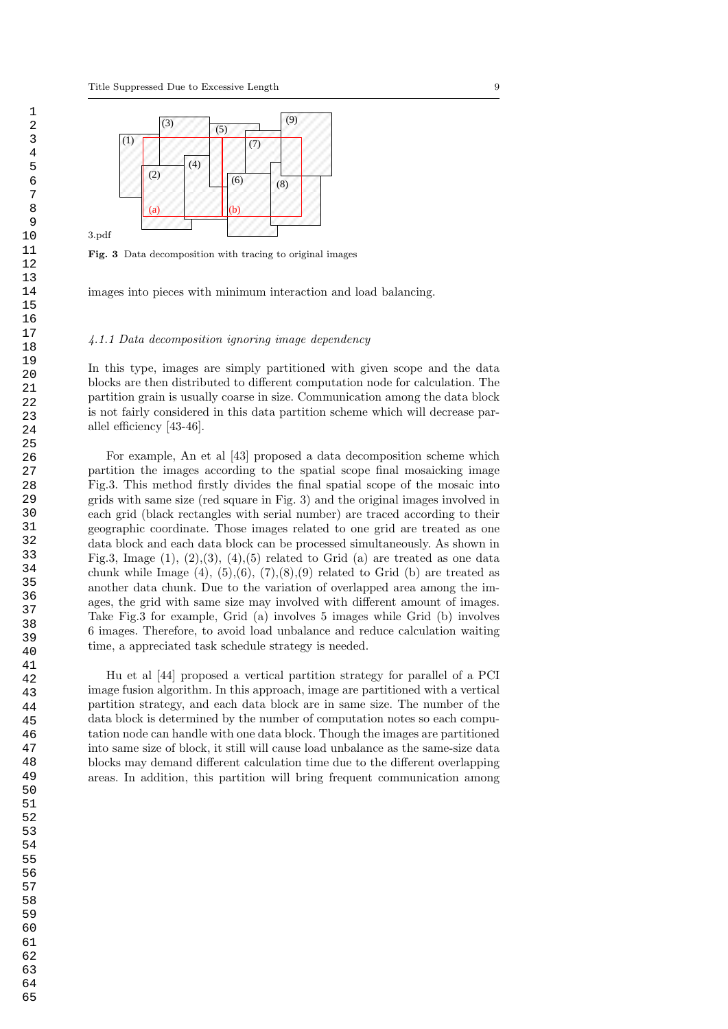

Fig. 3 Data decomposition with tracing to original images

images into pieces with minimum interaction and load balancing.

### 4.1.1 Data decomposition ignoring image dependency

In this type, images are simply partitioned with given scope and the data blocks are then distributed to different computation node for calculation. The partition grain is usually coarse in size. Communication among the data block is not fairly considered in this data partition scheme which will decrease parallel efficiency [43-46].

For example, An et al [43] proposed a data decomposition scheme which partition the images according to the spatial scope final mosaicking image Fig.3. This method firstly divides the final spatial scope of the mosaic into grids with same size (red square in Fig. 3) and the original images involved in each grid (black rectangles with serial number) are traced according to their geographic coordinate. Those images related to one grid are treated as one data block and each data block can be processed simultaneously. As shown in Fig.3, Image  $(1)$ ,  $(2),(3)$ ,  $(4),(5)$  related to Grid  $(a)$  are treated as one data chunk while Image  $(4)$ ,  $(5)$ ,  $(6)$ ,  $(7)$ ,  $(8)$ ,  $(9)$  related to Grid (b) are treated as another data chunk. Due to the variation of overlapped area among the images, the grid with same size may involved with different amount of images. Take Fig.3 for example, Grid (a) involves 5 images while Grid (b) involves 6 images. Therefore, to avoid load unbalance and reduce calculation waiting time, a appreciated task schedule strategy is needed.

Hu et al [44] proposed a vertical partition strategy for parallel of a PCI image fusion algorithm. In this approach, image are partitioned with a vertical partition strategy, and each data block are in same size. The number of the data block is determined by the number of computation notes so each computation node can handle with one data block. Though the images are partitioned into same size of block, it still will cause load unbalance as the same-size data blocks may demand different calculation time due to the different overlapping areas. In addition, this partition will bring frequent communication among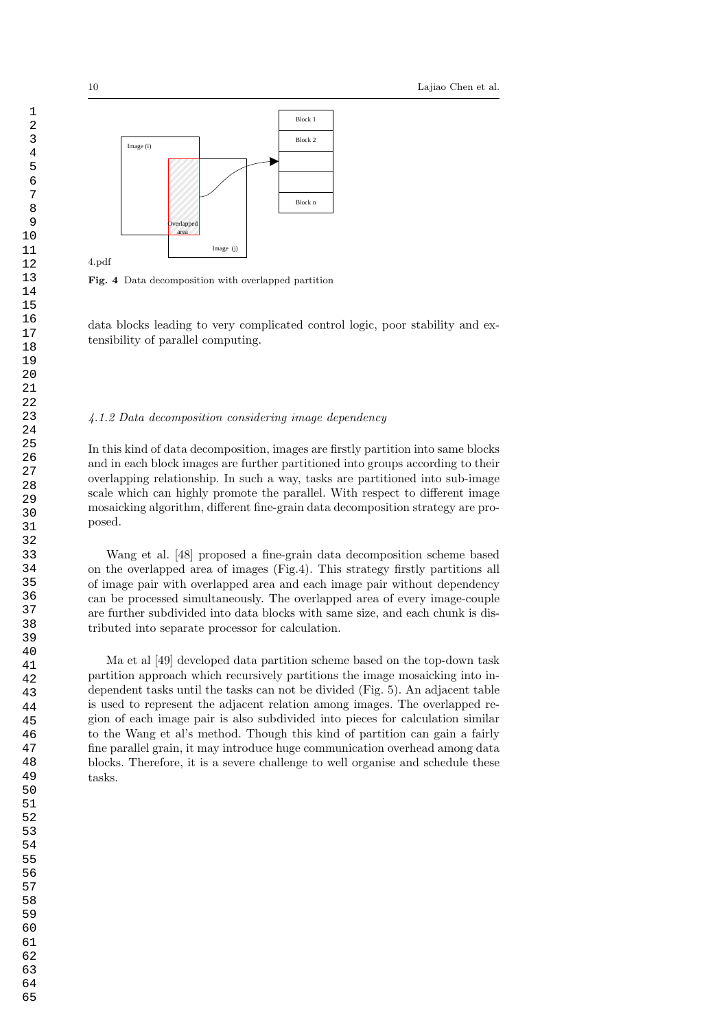

Fig. 4 Data decomposition with overlapped partition

data blocks leading to very complicated control logic, poor stability and extensibility of parallel computing.

### 4.1.2 Data decomposition considering image dependency

In this kind of data decomposition, images are firstly partition into same blocks and in each block images are further partitioned into groups according to their overlapping relationship. In such a way, tasks are partitioned into sub-image scale which can highly promote the parallel. With respect to different image mosaicking algorithm, different fine-grain data decomposition strategy are proposed.

Wang et al. [48] proposed a fine-grain data decomposition scheme based on the overlapped area of images (Fig.4). This strategy firstly partitions all of image pair with overlapped area and each image pair without dependency can be processed simultaneously. The overlapped area of every image-couple are further subdivided into data blocks with same size, and each chunk is distributed into separate processor for calculation.

Ma et al [49] developed data partition scheme based on the top-down task partition approach which recursively partitions the image mosaicking into independent tasks until the tasks can not be divided (Fig. 5). An adjacent table is used to represent the adjacent relation among images. The overlapped region of each image pair is also subdivided into pieces for calculation similar to the Wang et al's method. Though this kind of partition can gain a fairly fine parallel grain, it may introduce huge communication overhead among data blocks. Therefore, it is a severe challenge to well organise and schedule these tasks.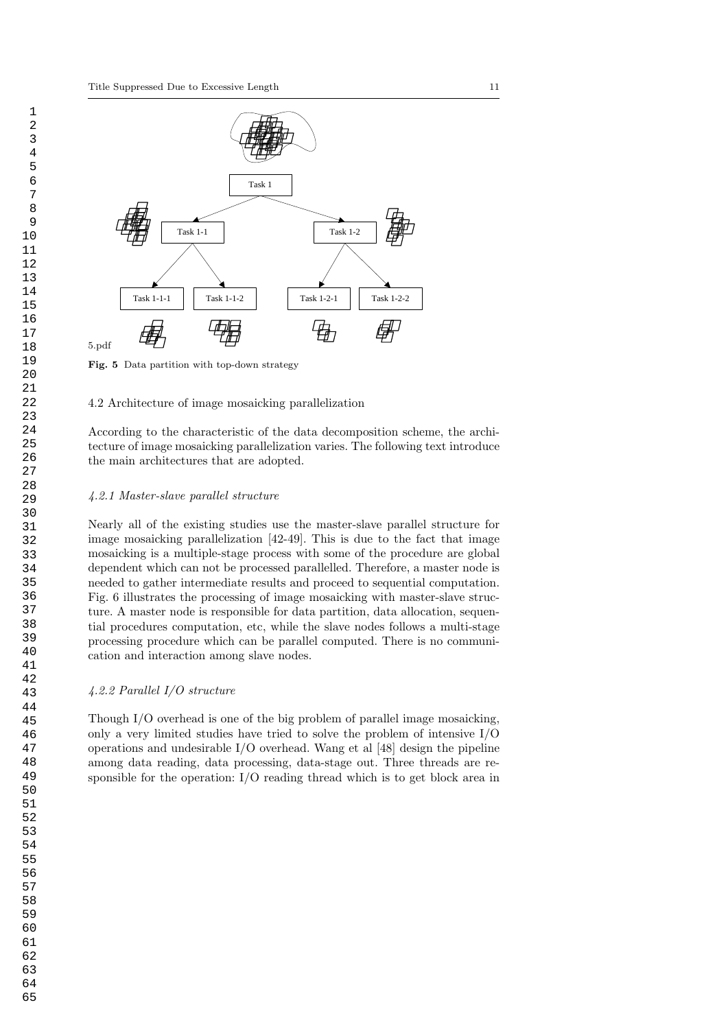

Fig. 5 Data partition with top-down strategy

### 4.2 Architecture of image mosaicking parallelization

According to the characteristic of the data decomposition scheme, the architecture of image mosaicking parallelization varies. The following text introduce the main architectures that are adopted.

### 4.2.1 Master-slave parallel structure

Nearly all of the existing studies use the master-slave parallel structure for image mosaicking parallelization [42-49]. This is due to the fact that image mosaicking is a multiple-stage process with some of the procedure are global dependent which can not be processed parallelled. Therefore, a master node is needed to gather intermediate results and proceed to sequential computation. Fig. 6 illustrates the processing of image mosaicking with master-slave structure. A master node is responsible for data partition, data allocation, sequential procedures computation, etc, while the slave nodes follows a multi-stage processing procedure which can be parallel computed. There is no communication and interaction among slave nodes.

# 4.2.2 Parallel I/O structure

Though I/O overhead is one of the big problem of parallel image mosaicking, only a very limited studies have tried to solve the problem of intensive I/O operations and undesirable I/O overhead. Wang et al [48] design the pipeline among data reading, data processing, data-stage out. Three threads are responsible for the operation: I/O reading thread which is to get block area in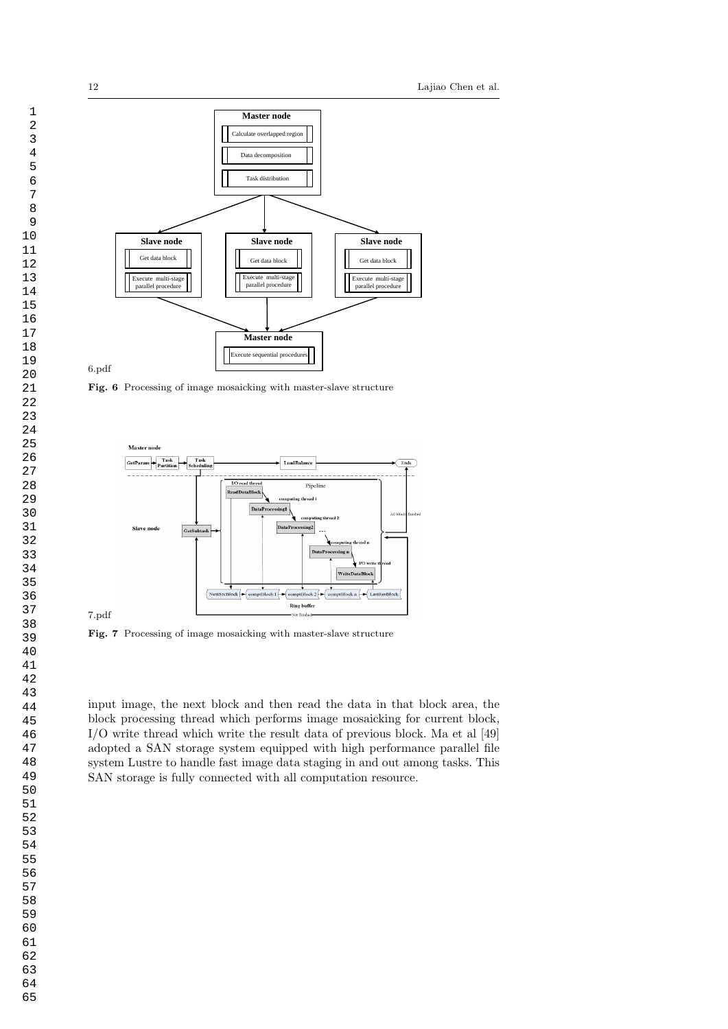

Fig. 6 Processing of image mosaicking with master-slave structure



Fig. 7 Processing of image mosaicking with master-slave structure

input image, the next block and then read the data in that block area, the block processing thread which performs image mosaicking for current block, I/O write thread which write the result data of previous block. Ma et al [49] adopted a SAN storage system equipped with high performance parallel file system Lustre to handle fast image data staging in and out among tasks. This SAN storage is fully connected with all computation resource.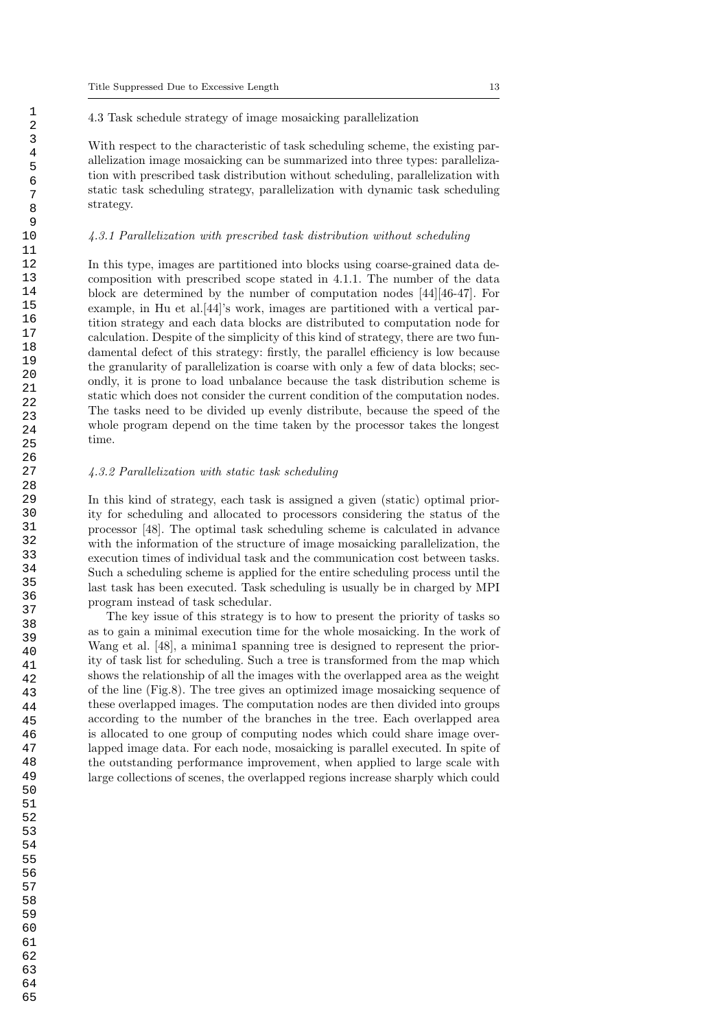### 4.3 Task schedule strategy of image mosaicking parallelization

With respect to the characteristic of task scheduling scheme, the existing parallelization image mosaicking can be summarized into three types: parallelization with prescribed task distribution without scheduling, parallelization with static task scheduling strategy, parallelization with dynamic task scheduling strategy.

### 4.3.1 Parallelization with prescribed task distribution without scheduling

In this type, images are partitioned into blocks using coarse-grained data decomposition with prescribed scope stated in 4.1.1. The number of the data block are determined by the number of computation nodes [44][46-47]. For example, in Hu et al.[44]'s work, images are partitioned with a vertical partition strategy and each data blocks are distributed to computation node for calculation. Despite of the simplicity of this kind of strategy, there are two fundamental defect of this strategy: firstly, the parallel efficiency is low because the granularity of parallelization is coarse with only a few of data blocks; secondly, it is prone to load unbalance because the task distribution scheme is static which does not consider the current condition of the computation nodes. The tasks need to be divided up evenly distribute, because the speed of the whole program depend on the time taken by the processor takes the longest time.

#### 4.3.2 Parallelization with static task scheduling

In this kind of strategy, each task is assigned a given (static) optimal priority for scheduling and allocated to processors considering the status of the processor [48]. The optimal task scheduling scheme is calculated in advance with the information of the structure of image mosaicking parallelization, the execution times of individual task and the communication cost between tasks. Such a scheduling scheme is applied for the entire scheduling process until the last task has been executed. Task scheduling is usually be in charged by MPI program instead of task schedular.

The key issue of this strategy is to how to present the priority of tasks so as to gain a minimal execution time for the whole mosaicking. In the work of Wang et al. [48], a minima1 spanning tree is designed to represent the priority of task list for scheduling. Such a tree is transformed from the map which shows the relationship of all the images with the overlapped area as the weight of the line (Fig.8). The tree gives an optimized image mosaicking sequence of these overlapped images. The computation nodes are then divided into groups according to the number of the branches in the tree. Each overlapped area is allocated to one group of computing nodes which could share image overlapped image data. For each node, mosaicking is parallel executed. In spite of the outstanding performance improvement, when applied to large scale with large collections of scenes, the overlapped regions increase sharply which could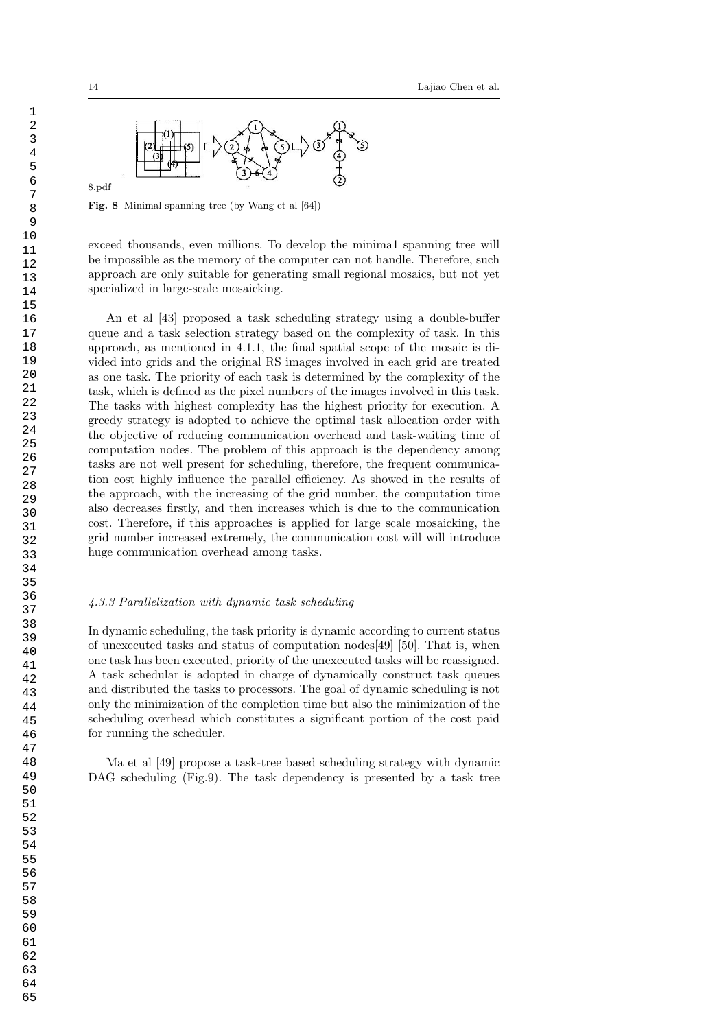

Fig. 8 Minimal spanning tree (by Wang et al [64])

exceed thousands, even millions. To develop the minima1 spanning tree will be impossible as the memory of the computer can not handle. Therefore, such approach are only suitable for generating small regional mosaics, but not yet specialized in large-scale mosaicking.

An et al [43] proposed a task scheduling strategy using a double-buffer queue and a task selection strategy based on the complexity of task. In this approach, as mentioned in 4.1.1, the final spatial scope of the mosaic is divided into grids and the original RS images involved in each grid are treated as one task. The priority of each task is determined by the complexity of the task, which is defined as the pixel numbers of the images involved in this task. The tasks with highest complexity has the highest priority for execution. A greedy strategy is adopted to achieve the optimal task allocation order with the objective of reducing communication overhead and task-waiting time of computation nodes. The problem of this approach is the dependency among tasks are not well present for scheduling, therefore, the frequent communication cost highly influence the parallel efficiency. As showed in the results of the approach, with the increasing of the grid number, the computation time also decreases firstly, and then increases which is due to the communication cost. Therefore, if this approaches is applied for large scale mosaicking, the grid number increased extremely, the communication cost will will introduce huge communication overhead among tasks.

#### 4.3.3 Parallelization with dynamic task scheduling

In dynamic scheduling, the task priority is dynamic according to current status of unexecuted tasks and status of computation nodes[49] [50]. That is, when one task has been executed, priority of the unexecuted tasks will be reassigned. A task schedular is adopted in charge of dynamically construct task queues and distributed the tasks to processors. The goal of dynamic scheduling is not only the minimization of the completion time but also the minimization of the scheduling overhead which constitutes a significant portion of the cost paid for running the scheduler.

Ma et al [49] propose a task-tree based scheduling strategy with dynamic DAG scheduling (Fig.9). The task dependency is presented by a task tree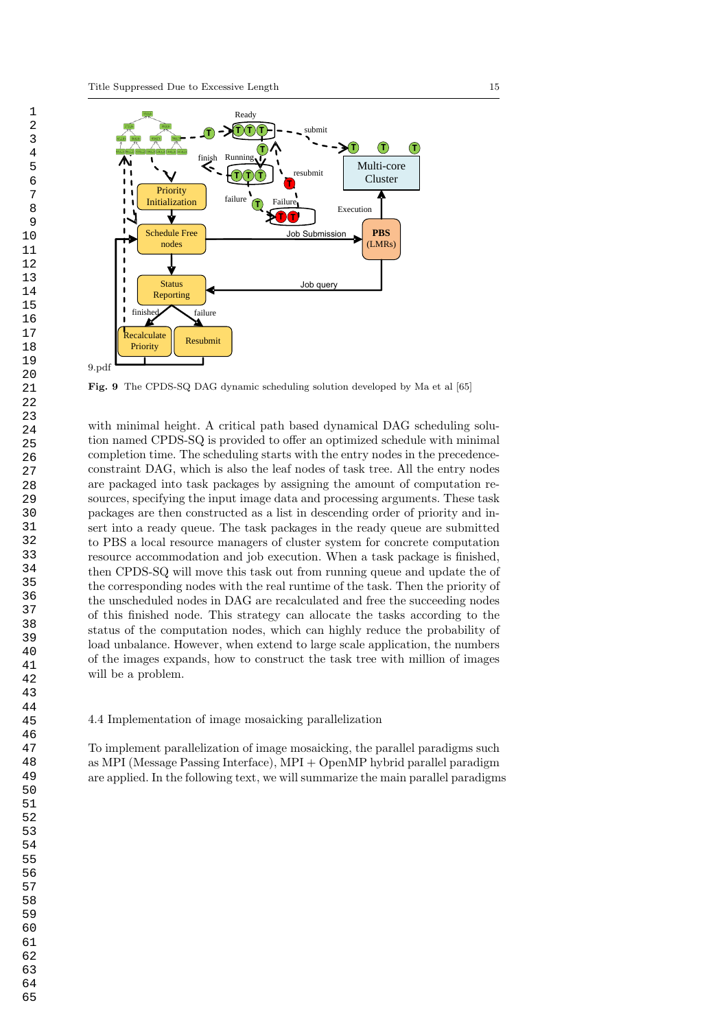

Fig. 9 The CPDS-SQ DAG dynamic scheduling solution developed by Ma et al [65]

with minimal height. A critical path based dynamical DAG scheduling solution named CPDS-SQ is provided to offer an optimized schedule with minimal completion time. The scheduling starts with the entry nodes in the precedenceconstraint DAG, which is also the leaf nodes of task tree. All the entry nodes are packaged into task packages by assigning the amount of computation resources, specifying the input image data and processing arguments. These task packages are then constructed as a list in descending order of priority and insert into a ready queue. The task packages in the ready queue are submitted to PBS a local resource managers of cluster system for concrete computation resource accommodation and job execution. When a task package is finished, then CPDS-SQ will move this task out from running queue and update the of the corresponding nodes with the real runtime of the task. Then the priority of the unscheduled nodes in DAG are recalculated and free the succeeding nodes of this finished node. This strategy can allocate the tasks according to the status of the computation nodes, which can highly reduce the probability of load unbalance. However, when extend to large scale application, the numbers of the images expands, how to construct the task tree with million of images will be a problem.

#### 4.4 Implementation of image mosaicking parallelization

To implement parallelization of image mosaicking, the parallel paradigms such as MPI (Message Passing Interface), MPI + OpenMP hybrid parallel paradigm are applied. In the following text, we will summarize the main parallel paradigms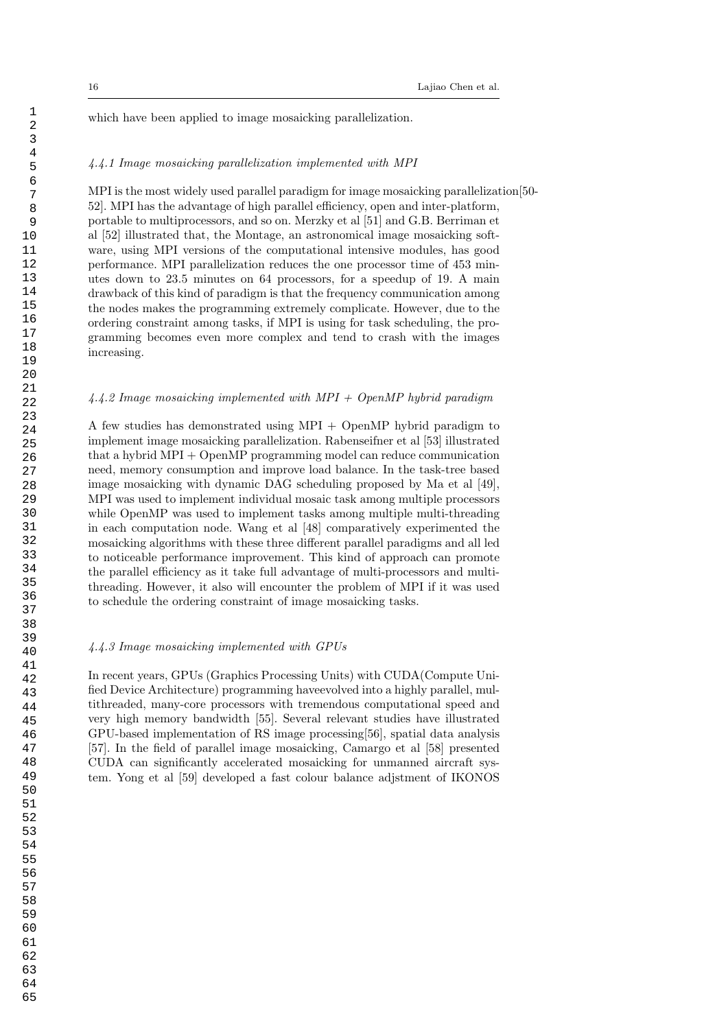which have been applied to image mosaicking parallelization.

#### 4.4.1 Image mosaicking parallelization implemented with MPI

MPI is the most widely used parallel paradigm for image mosaicking parallelization[50- 52]. MPI has the advantage of high parallel efficiency, open and inter-platform, portable to multiprocessors, and so on. Merzky et al [51] and G.B. Berriman et al [52] illustrated that, the Montage, an astronomical image mosaicking software, using MPI versions of the computational intensive modules, has good performance. MPI parallelization reduces the one processor time of 453 minutes down to 23.5 minutes on 64 processors, for a speedup of 19. A main drawback of this kind of paradigm is that the frequency communication among the nodes makes the programming extremely complicate. However, due to the ordering constraint among tasks, if MPI is using for task scheduling, the programming becomes even more complex and tend to crash with the images increasing.

### $4.4.2$  Image mosaicking implemented with MPI + OpenMP hybrid paradigm

A few studies has demonstrated using MPI + OpenMP hybrid paradigm to implement image mosaicking parallelization. Rabenseifner et al [53] illustrated that a hybrid MPI + OpenMP programming model can reduce communication need, memory consumption and improve load balance. In the task-tree based image mosaicking with dynamic DAG scheduling proposed by Ma et al [49], MPI was used to implement individual mosaic task among multiple processors while OpenMP was used to implement tasks among multiple multi-threading in each computation node. Wang et al [48] comparatively experimented the mosaicking algorithms with these three different parallel paradigms and all led to noticeable performance improvement. This kind of approach can promote the parallel efficiency as it take full advantage of multi-processors and multithreading. However, it also will encounter the problem of MPI if it was used to schedule the ordering constraint of image mosaicking tasks.

#### 4.4.3 Image mosaicking implemented with GPUs

In recent years, GPUs (Graphics Processing Units) with CUDA(Compute Unified Device Architecture) programming haveevolved into a highly parallel, multithreaded, many-core processors with tremendous computational speed and very high memory bandwidth [55]. Several relevant studies have illustrated GPU-based implementation of RS image processing[56], spatial data analysis [57]. In the field of parallel image mosaicking, Camargo et al [58] presented CUDA can significantly accelerated mosaicking for unmanned aircraft system. Yong et al [59] developed a fast colour balance adjstment of IKONOS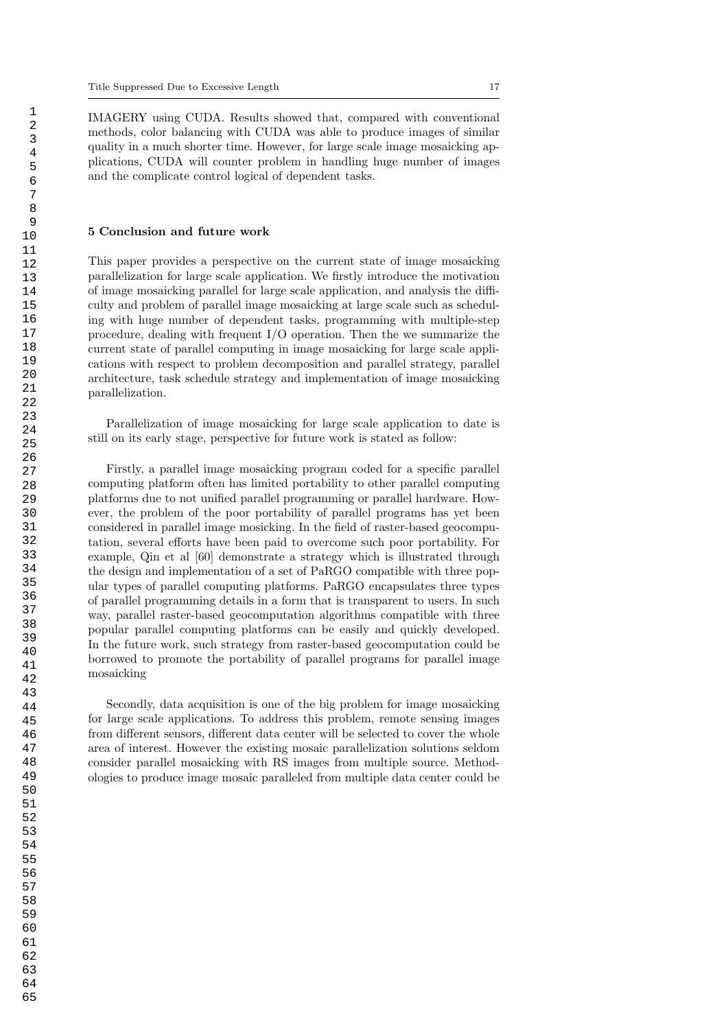IMAGERY using CUDA. Results showed that, compared with conventional methods, color balancing with CUDA was able to produce images of similar quality in a much shorter time. However, for large scale image mosaicking applications, CUDA will counter problem in handling huge number of images and the complicate control logical of dependent tasks.

### 5 Conclusion and future work

This paper provides a perspective on the current state of image mosaicking parallelization for large scale application. We firstly introduce the motivation of image mosaicking parallel for large scale application, and analysis the difficulty and problem of parallel image mosaicking at large scale such as scheduling with huge number of dependent tasks, programming with multiple-step procedure, dealing with frequent I/O operation. Then the we summarize the current state of parallel computing in image mosaicking for large scale applications with respect to problem decomposition and parallel strategy, parallel architecture, task schedule strategy and implementation of image mosaicking parallelization.

Parallelization of image mosaicking for large scale application to date is still on its early stage, perspective for future work is stated as follow:

Firstly, a parallel image mosaicking program coded for a specific parallel computing platform often has limited portability to other parallel computing platforms due to not unified parallel programming or parallel hardware. However, the problem of the poor portability of parallel programs has yet been considered in parallel image mosicking. In the field of raster-based geocomputation, several efforts have been paid to overcome such poor portability. For example, Qin et al [60] demonstrate a strategy which is illustrated through the design and implementation of a set of PaRGO compatible with three popular types of parallel computing platforms. PaRGO encapsulates three types of parallel programming details in a form that is transparent to users. In such way, parallel raster-based geocomputation algorithms compatible with three popular parallel computing platforms can be easily and quickly developed. In the future work, such strategy from raster-based geocomputation could be borrowed to promote the portability of parallel programs for parallel image mosaicking

Secondly, data acquisition is one of the big problem for image mosaicking for large scale applications. To address this problem, remote sensing images from different sensors, different data center will be selected to cover the whole area of interest. However the existing mosaic parallelization solutions seldom consider parallel mosaicking with RS images from multiple source. Methodologies to produce image mosaic paralleled from multiple data center could be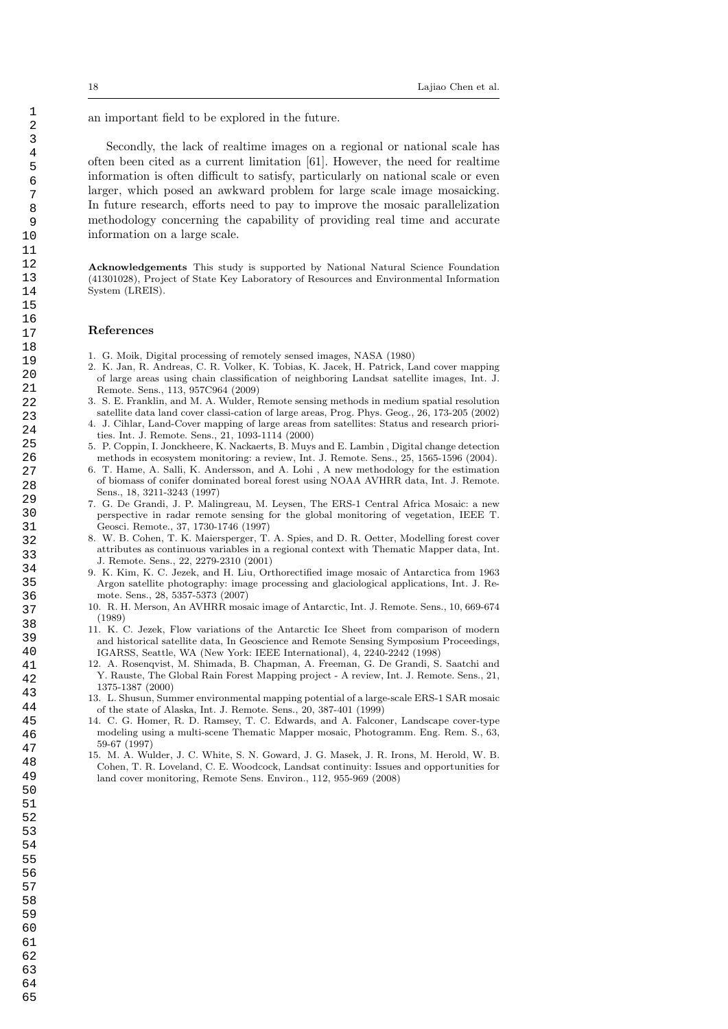an important field to be explored in the future.

Secondly, the lack of realtime images on a regional or national scale has often been cited as a current limitation [61]. However, the need for realtime information is often difficult to satisfy, particularly on national scale or even larger, which posed an awkward problem for large scale image mosaicking. In future research, efforts need to pay to improve the mosaic parallelization methodology concerning the capability of providing real time and accurate information on a large scale.

Acknowledgements This study is supported by National Natural Science Foundation (41301028), Project of State Key Laboratory of Resources and Environmental Information System (LREIS).

### References

- 1. G. Moik, Digital processing of remotely sensed images, NASA (1980)
- 2. K. Jan, R. Andreas, C. R. Volker, K. Tobias, K. Jacek, H. Patrick, Land cover mapping of large areas using chain classification of neighboring Landsat satellite images, Int. J. Remote. Sens., 113, 957C964 (2009)
- 3. S. E. Franklin, and M. A. Wulder, Remote sensing methods in medium spatial resolution
- satellite data land cover classi-cation of large areas, Prog. Phys. Geog., 26, 173-205 (2002) 4. J. Cihlar, Land-Cover mapping of large areas from satellites: Status and research priorities. Int. J. Remote. Sens., 21, 1093-1114 (2000)
- 5. P. Coppin, I. Jonckheere, K. Nackaerts, B. Muys and E. Lambin , Digital change detection methods in ecosystem monitoring: a review, Int. J. Remote. Sens., 25, 1565-1596 (2004).
- 6. T. Hame, A. Salli, K. Andersson, and A. Lohi , A new methodology for the estimation of biomass of conifer dominated boreal forest using NOAA AVHRR data, Int. J. Remote. Sens., 18, 3211-3243 (1997)
- 7. G. De Grandi, J. P. Malingreau, M. Leysen, The ERS-1 Central Africa Mosaic: a new perspective in radar remote sensing for the global monitoring of vegetation, IEEE T. Geosci. Remote., 37, 1730-1746 (1997)
- 8. W. B. Cohen, T. K. Maiersperger, T. A. Spies, and D. R. Oetter, Modelling forest cover attributes as continuous variables in a regional context with Thematic Mapper data, Int. J. Remote. Sens., 22, 2279-2310 (2001)
- 9. K. Kim, K. C. Jezek, and H. Liu, Orthorectified image mosaic of Antarctica from 1963 Argon satellite photography: image processing and glaciological applications, Int. J. Remote. Sens., 28, 5357-5373 (2007)
- 10. R. H. Merson, An AVHRR mosaic image of Antarctic, Int. J. Remote. Sens., 10, 669-674 (1989)
- 11. K. C. Jezek, Flow variations of the Antarctic Ice Sheet from comparison of modern and historical satellite data, In Geoscience and Remote Sensing Symposium Proceedings, IGARSS, Seattle, WA (New York: IEEE International), 4, 2240-2242 (1998)
- 12. A. Rosenqvist, M. Shimada, B. Chapman, A. Freeman, G. De Grandi, S. Saatchi and Y. Rauste, The Global Rain Forest Mapping project - A review, Int. J. Remote. Sens., 21, 1375-1387 (2000)
- 13. L. Shusun, Summer environmental mapping potential of a large-scale ERS-1 SAR mosaic of the state of Alaska, Int. J. Remote. Sens., 20, 387-401 (1999)
- 14. C. G. Homer, R. D. Ramsey, T. C. Edwards, and A. Falconer, Landscape cover-type modeling using a multi-scene Thematic Mapper mosaic, Photogramm. Eng. Rem. S., 63, 59-67 (1997)
- 15. M. A. Wulder, J. C. White, S. N. Goward, J. G. Masek, J. R. Irons, M. Herold, W. B. Cohen, T. R. Loveland, C. E. Woodcock, Landsat continuity: Issues and opportunities for land cover monitoring, Remote Sens. Environ., 112, 955-969 (2008)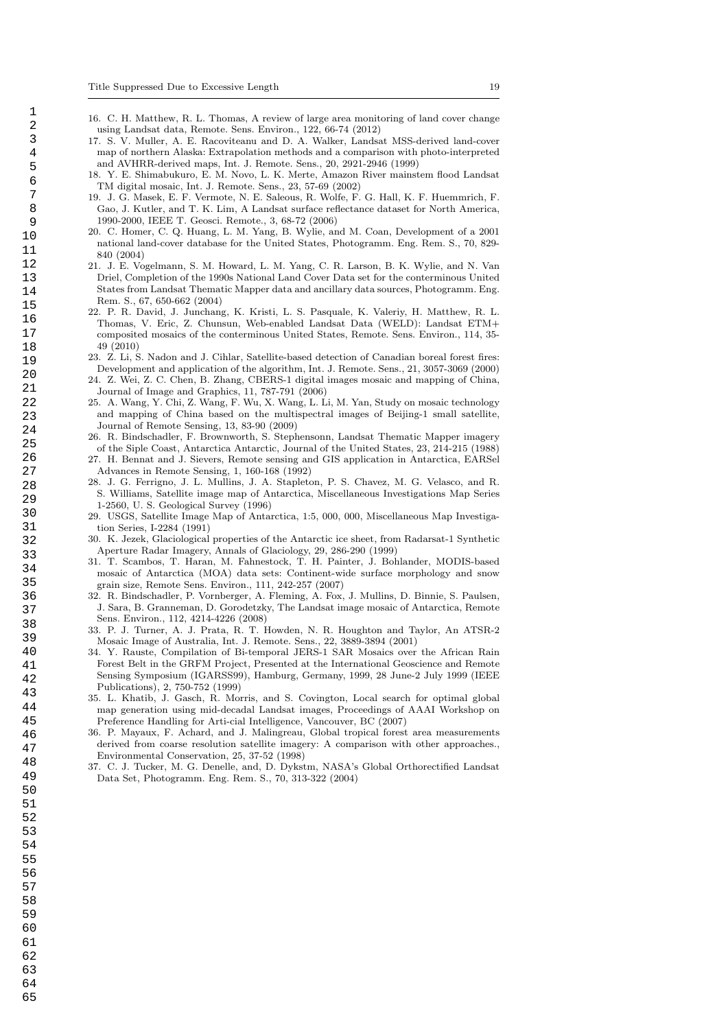- 16. C. H. Matthew, R. L. Thomas, A review of large area monitoring of land cover change using Landsat data, Remote. Sens. Environ., 122, 66-74 (2012)
- 17. S. V. Muller, A. E. Racoviteanu and D. A. Walker, Landsat MSS-derived land-cover map of northern Alaska: Extrapolation methods and a comparison with photo-interpreted and AVHRR-derived maps, Int. J. Remote. Sens., 20, 2921-2946 (1999)
- 18. Y. E. Shimabukuro, E. M. Novo, L. K. Merte, Amazon River mainstem flood Landsat TM digital mosaic, Int. J. Remote. Sens., 23, 57-69 (2002)
- 19. J. G. Masek, E. F. Vermote, N. E. Saleous, R. Wolfe, F. G. Hall, K. F. Huemmrich, F. Gao, J. Kutler, and T. K. Lim, A Landsat surface reflectance dataset for North America, 1990-2000, IEEE T. Geosci. Remote., 3, 68-72 (2006)
- 20. C. Homer, C. Q. Huang, L. M. Yang, B. Wylie, and M. Coan, Development of a 2001 national land-cover database for the United States, Photogramm. Eng. Rem. S., 70, 829- 840 (2004)
- 21. J. E. Vogelmann, S. M. Howard, L. M. Yang, C. R. Larson, B. K. Wylie, and N. Van Driel, Completion of the 1990s National Land Cover Data set for the conterminous United States from Landsat Thematic Mapper data and ancillary data sources, Photogramm. Eng. Rem. S., 67, 650-662 (2004)
- 22. P. R. David, J. Junchang, K. Kristi, L. S. Pasquale, K. Valeriy, H. Matthew, R. L. Thomas, V. Eric, Z. Chunsun, Web-enabled Landsat Data (WELD): Landsat ETM+ composited mosaics of the conterminous United States, Remote. Sens. Environ., 114, 35- 49 (2010)
- 23. Z. Li, S. Nadon and J. Cihlar, Satellite-based detection of Canadian boreal forest fires: Development and application of the algorithm, Int. J. Remote. Sens., 21, 3057-3069 (2000) 24. Z. Wei, Z. C. Chen, B. Zhang, CBERS-1 digital images mosaic and mapping of China,
- Journal of Image and Graphics, 11, 787-791 (2006)
- 25. A. Wang, Y. Chi, Z. Wang, F. Wu, X. Wang, L. Li, M. Yan, Study on mosaic technology and mapping of China based on the multispectral images of Beijing-1 small satellite, Journal of Remote Sensing, 13, 83-90 (2009)
- 26. R. Bindschadler, F. Brownworth, S. Stephensonn, Landsat Thematic Mapper imagery of the Siple Coast, Antarctica Antarctic, Journal of the United States, 23, 214-215 (1988) 27. H. Bennat and J. Sievers, Remote sensing and GIS application in Antarctica, EARSel
- Advances in Remote Sensing, 1, 160-168 (1992)
- 28. J. G. Ferrigno, J. L. Mullins, J. A. Stapleton, P. S. Chavez, M. G. Velasco, and R. S. Williams, Satellite image map of Antarctica, Miscellaneous Investigations Map Series 1-2560, U. S. Geological Survey (1996)
- 29. USGS, Satellite Image Map of Antarctica, 1:5, 000, 000, Miscellaneous Map Investigation Series, I-2284 (1991)
- 30. K. Jezek, Glaciological properties of the Antarctic ice sheet, from Radarsat-1 Synthetic Aperture Radar Imagery, Annals of Glaciology, 29, 286-290 (1999)
- 31. T. Scambos, T. Haran, M. Fahnestock, T. H. Painter, J. Bohlander, MODIS-based mosaic of Antarctica (MOA) data sets: Continent-wide surface morphology and snow grain size, Remote Sens. Environ., 111, 242-257 (2007)
- 32. R. Bindschadler, P. Vornberger, A. Fleming, A. Fox, J. Mullins, D. Binnie, S. Paulsen, J. Sara, B. Granneman, D. Gorodetzky, The Landsat image mosaic of Antarctica, Remote Sens. Environ., 112, 4214-4226 (2008)
- 33. P. J. Turner, A. J. Prata, R. T. Howden, N. R. Houghton and Taylor, An ATSR-2 Mosaic Image of Australia, Int. J. Remote. Sens., 22, 3889-3894 (2001)
- 34. Y. Rauste, Compilation of Bi-temporal JERS-1 SAR Mosaics over the African Rain Forest Belt in the GRFM Project, Presented at the International Geoscience and Remote Sensing Symposium (IGARSS99), Hamburg, Germany, 1999, 28 June-2 July 1999 (IEEE Publications), 2, 750-752 (1999)
- 35. L. Khatib, J. Gasch, R. Morris, and S. Covington, Local search for optimal global map generation using mid-decadal Landsat images, Proceedings of AAAI Workshop on Preference Handling for Arti-cial Intelligence, Vancouver, BC (2007)
- 36. P. Mayaux, F. Achard, and J. Malingreau, Global tropical forest area measurements derived from coarse resolution satellite imagery: A comparison with other approaches., Environmental Conservation, 25, 37-52 (1998)
- 37. C. J. Tucker, M. G. Denelle, and, D. Dykstm, NASA's Global Orthorectified Landsat Data Set, Photogramm. Eng. Rem. S., 70, 313-322 (2004)